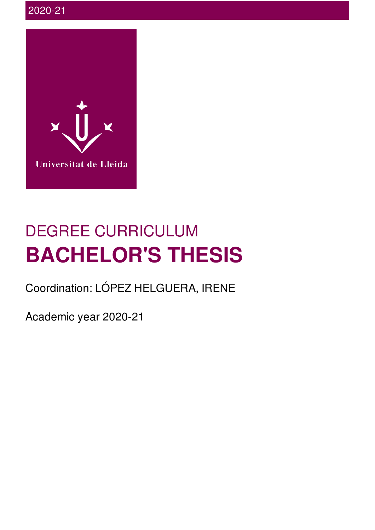

# DEGREE CURRICULUM **BACHELOR'S THESIS**

Coordination: LÓPEZ HELGUERA, IRENE

Academic year 2020-21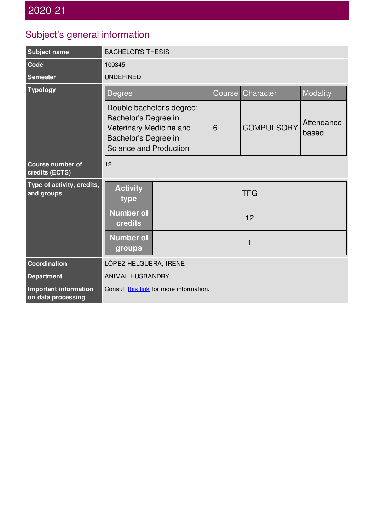#### Subject's general information

| Subject name                                | <b>BACHELOR'S THESIS</b>                                                                                                              |            |        |                   |                      |
|---------------------------------------------|---------------------------------------------------------------------------------------------------------------------------------------|------------|--------|-------------------|----------------------|
| Code                                        | 100345                                                                                                                                |            |        |                   |                      |
| <b>Semester</b>                             | <b>UNDEFINED</b>                                                                                                                      |            |        |                   |                      |
| <b>Typology</b>                             | <b>Degree</b>                                                                                                                         |            | Course | Character         | Modality             |
|                                             | Double bachelor's degree:<br>Bachelor's Degree in<br>Veterinary Medicine and<br>Bachelor's Degree in<br><b>Science and Production</b> |            | 6      | <b>COMPULSORY</b> | Attendance-<br>based |
| <b>Course number of</b><br>credits (ECTS)   | 12                                                                                                                                    |            |        |                   |                      |
| Type of activity, credits,<br>and groups    | <b>Activity</b><br>type                                                                                                               | <b>TFG</b> |        |                   |                      |
|                                             | <b>Number of</b><br>credits                                                                                                           | 12         |        |                   |                      |
|                                             | <b>Number of</b><br>groups                                                                                                            | 1          |        |                   |                      |
| Coordination                                | LÓPEZ HELGUERA, IRENE                                                                                                                 |            |        |                   |                      |
| <b>Department</b>                           | ANIMAL HUSBANDRY                                                                                                                      |            |        |                   |                      |
| Important information<br>on data processing | Consult this link for more information.                                                                                               |            |        |                   |                      |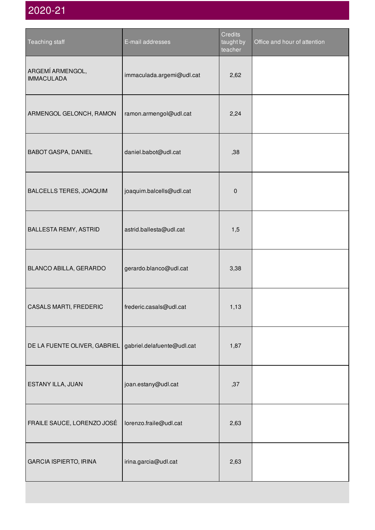| Teaching staff                        | E-mail addresses           | Credits<br>taught by<br>teacher | Office and hour of attention |
|---------------------------------------|----------------------------|---------------------------------|------------------------------|
| ARGEMÍ ARMENGOL,<br><b>IMMACULADA</b> | immaculada.argemi@udl.cat  | 2,62                            |                              |
| ARMENGOL GELONCH, RAMON               | ramon.armengol@udl.cat     | 2,24                            |                              |
| <b>BABOT GASPA, DANIEL</b>            | daniel.babot@udl.cat       | ,38                             |                              |
| BALCELLS TERES, JOAQUIM               | joaquim.balcells@udl.cat   | $\pmb{0}$                       |                              |
| BALLESTA REMY, ASTRID                 | astrid.ballesta@udl.cat    | 1,5                             |                              |
| BLANCO ABILLA, GERARDO                | gerardo.blanco@udl.cat     | 3,38                            |                              |
| CASALS MARTI, FREDERIC                | frederic.casals@udl.cat    | 1,13                            |                              |
| DE LA FUENTE OLIVER, GABRIEL          | gabriel.delafuente@udl.cat | 1,87                            |                              |
| ESTANY ILLA, JUAN                     | joan.estany@udl.cat        | ,37                             |                              |
| FRAILE SAUCE, LORENZO JOSÉ            | lorenzo.fraile@udl.cat     | 2,63                            |                              |
| <b>GARCIA ISPIERTO, IRINA</b>         | irina.garcia@udl.cat       | 2,63                            |                              |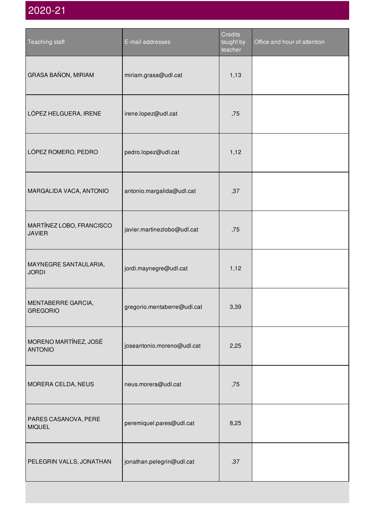| Teaching staff                            | E-mail addresses            | <b>Credits</b><br>taught by<br>teacher | Office and hour of attention |
|-------------------------------------------|-----------------------------|----------------------------------------|------------------------------|
| GRASA BAÑON, MIRIAM                       | miriam.grasa@udl.cat        | 1,13                                   |                              |
| LÓPEZ HELGUERA, IRENE                     | irene.lopez@udl.cat         | ,75                                    |                              |
| LÓPEZ ROMERO, PEDRO                       | pedro.lopez@udl.cat         | 1,12                                   |                              |
| MARGALIDA VACA, ANTONIO                   | antonio.margalida@udl.cat   | ,37                                    |                              |
| MARTÍNEZ LOBO, FRANCISCO<br><b>JAVIER</b> | javier.martinezlobo@udl.cat | ,75                                    |                              |
| MAYNEGRE SANTAULARIA,<br><b>JORDI</b>     | jordi.maynegre@udl.cat      | 1,12                                   |                              |
| MENTABERRE GARCIA,<br><b>GREGORIO</b>     | gregorio.mentaberre@udl.cat | 3,39                                   |                              |
| MORENO MARTÍNEZ, JOSÉ<br><b>ANTONIO</b>   | joseantonio.moreno@udl.cat  | 2,25                                   |                              |
| MORERA CELDA, NEUS                        | neus.morera@udl.cat         | ,75                                    |                              |
| PARES CASANOVA, PERE<br><b>MIQUEL</b>     | peremiquel.pares@udl.cat    | 8,25                                   |                              |
| PELEGRIN VALLS, JONATHAN                  | jonathan.pelegrin@udl.cat   | ,37                                    |                              |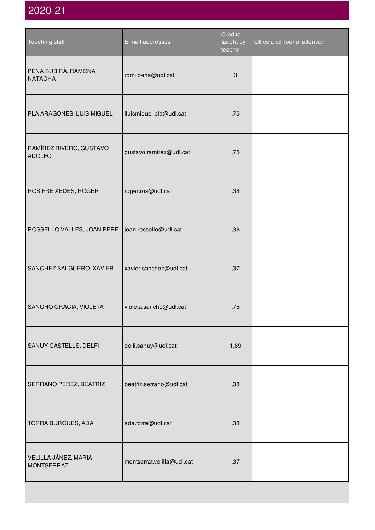| Teaching staff                            | E-mail addresses           | Credits<br>taught by<br>teacher | Office and hour of attention |
|-------------------------------------------|----------------------------|---------------------------------|------------------------------|
| PENA SUBIRÀ, RAMONA<br><b>NATACHA</b>     | romi.pena@udl.cat          | $\ensuremath{\mathsf{3}}$       |                              |
| PLA ARAGONES, LUIS MIGUEL                 | lluismiquel.pla@udl.cat    | ,75                             |                              |
| RAMÍREZ RIVERO, GUSTAVO<br><b>ADOLFO</b>  | gustavo.ramirez@udl.cat    | ,75                             |                              |
| ROS FREIXEDES, ROGER                      | roger.ros@udl.cat          | ,38                             |                              |
| ROSSELLO VALLES, JOAN PERE                | joan.rossello@udl.cat      | ,38                             |                              |
| SANCHEZ SALGUERO, XAVIER                  | xavier.sanchez@udl.cat     | ,37                             |                              |
| SANCHO GRACIA, VIOLETA                    | violeta.sancho@udl.cat     | ,75                             |                              |
| SANUY CASTELLS, DELFI                     | delfi.sanuy@udl.cat        | 1,89                            |                              |
| SERRANO PÉREZ, BEATRIZ                    | beatriz.serrano@udl.cat    | ,38                             |                              |
| TORRA BURGUES, ADA                        | ada.torra@udl.cat          | ,38                             |                              |
| VELILLA JÁNEZ, MARIA<br><b>MONTSERRAT</b> | montserrat.velilla@udl.cat | ,37                             |                              |